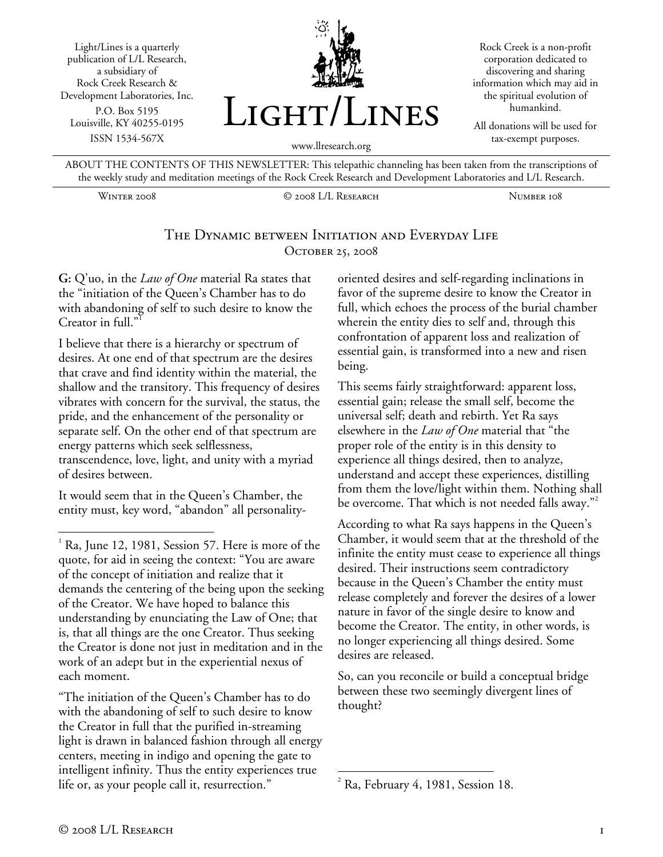Light/Lines is a quarterly publication of L/L Research, a subsidiary of Rock Creek Research & Development Laboratories, Inc. P.O. Box 5195 Louisville, KY 40255-0195 ISSN 1534-567X



Rock Creek is a non-profit corporation dedicated to discovering and sharing information which may aid in the spiritual evolution of humankind.

All donations will be used for tax-exempt purposes.

ABOUT THE CONTENTS OF THIS NEWSLETTER: This telepathic channeling has been taken from the transcriptions of the weekly study and meditation meetings of the Rock Creek Research and Development Laboratories and L/L Research.

Winter 2008 © 2008 L/L Research Number 108

### The Dynamic between Initiation and Everyday Life OCTOBER 25, 2008

**G:** Q'uo, in the *Law of One* material Ra states that the "initiation of the Queen's Chamber has to do with abandoning of self to such desire to know the Creator in full."

I believe that there is a hierarchy or spectrum of desires. At one end of that spectrum are the desires that crave and find identity within the material, the shallow and the transitory. This frequency of desires vibrates with concern for the survival, the status, the pride, and the enhancement of the personality or separate self. On the other end of that spectrum are energy patterns which seek selflessness, transcendence, love, light, and unity with a myriad of desires between.

It would seem that in the Queen's Chamber, the entity must, key word, "abandon" all personality-

"The initiation of the Queen's Chamber has to do with the abandoning of self to such desire to know the Creator in full that the purified in-streaming light is drawn in balanced fashion through all energy centers, meeting in indigo and opening the gate to intelligent infinity. Thus the entity experiences true life or, as your people call it, resurrection."

oriented desires and self-regarding inclinations in favor of the supreme desire to know the Creator in full, which echoes the process of the burial chamber wherein the entity dies to self and, through this confrontation of apparent loss and realization of essential gain, is transformed into a new and risen being.

This seems fairly straightforward: apparent loss, essential gain; release the small self, become the universal self; death and rebirth. Yet Ra says elsewhere in the *Law of One* material that "the proper role of the entity is in this density to experience all things desired, then to analyze, understand and accept these experiences, distilling from them the love/light within them. Nothing shall be overcome. That which is not needed falls away."

According to what Ra says happens in the Queen's Chamber, it would seem that at the threshold of the infinite the entity must cease to experience all things desired. Their instructions seem contradictory because in the Queen's Chamber the entity must release completely and forever the desires of a lower nature in favor of the single desire to know and become the Creator. The entity, in other words, is no longer experiencing all things desired. Some desires are released.

So, can you reconcile or build a conceptual bridge between these two seemingly divergent lines of thought?

<u>.</u>

 $\overline{a}$ 

<sup>1</sup> Ra, June 12, 1981, Session 57. Here is more of the quote, for aid in seeing the context: "You are aware of the concept of initiation and realize that it demands the centering of the being upon the seeking of the Creator. We have hoped to balance this understanding by enunciating the Law of One; that is, that all things are the one Creator. Thus seeking the Creator is done not just in meditation and in the work of an adept but in the experiential nexus of each moment.

 $2^2$  Ra, February 4, 1981, Session 18.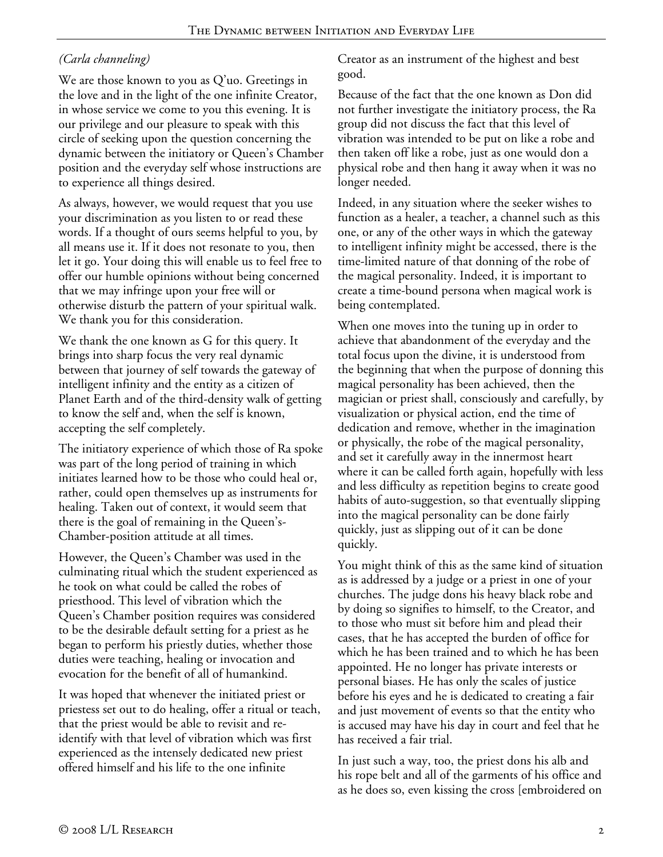# *(Carla channeling)*

We are those known to you as Q'uo. Greetings in the love and in the light of the one infinite Creator, in whose service we come to you this evening. It is our privilege and our pleasure to speak with this circle of seeking upon the question concerning the dynamic between the initiatory or Queen's Chamber position and the everyday self whose instructions are to experience all things desired.

As always, however, we would request that you use your discrimination as you listen to or read these words. If a thought of ours seems helpful to you, by all means use it. If it does not resonate to you, then let it go. Your doing this will enable us to feel free to offer our humble opinions without being concerned that we may infringe upon your free will or otherwise disturb the pattern of your spiritual walk. We thank you for this consideration.

We thank the one known as G for this query. It brings into sharp focus the very real dynamic between that journey of self towards the gateway of intelligent infinity and the entity as a citizen of Planet Earth and of the third-density walk of getting to know the self and, when the self is known, accepting the self completely.

The initiatory experience of which those of Ra spoke was part of the long period of training in which initiates learned how to be those who could heal or, rather, could open themselves up as instruments for healing. Taken out of context, it would seem that there is the goal of remaining in the Queen's-Chamber-position attitude at all times.

However, the Queen's Chamber was used in the culminating ritual which the student experienced as he took on what could be called the robes of priesthood. This level of vibration which the Queen's Chamber position requires was considered to be the desirable default setting for a priest as he began to perform his priestly duties, whether those duties were teaching, healing or invocation and evocation for the benefit of all of humankind.

It was hoped that whenever the initiated priest or priestess set out to do healing, offer a ritual or teach, that the priest would be able to revisit and reidentify with that level of vibration which was first experienced as the intensely dedicated new priest offered himself and his life to the one infinite

Creator as an instrument of the highest and best good.

Because of the fact that the one known as Don did not further investigate the initiatory process, the Ra group did not discuss the fact that this level of vibration was intended to be put on like a robe and then taken off like a robe, just as one would don a physical robe and then hang it away when it was no longer needed.

Indeed, in any situation where the seeker wishes to function as a healer, a teacher, a channel such as this one, or any of the other ways in which the gateway to intelligent infinity might be accessed, there is the time-limited nature of that donning of the robe of the magical personality. Indeed, it is important to create a time-bound persona when magical work is being contemplated.

When one moves into the tuning up in order to achieve that abandonment of the everyday and the total focus upon the divine, it is understood from the beginning that when the purpose of donning this magical personality has been achieved, then the magician or priest shall, consciously and carefully, by visualization or physical action, end the time of dedication and remove, whether in the imagination or physically, the robe of the magical personality, and set it carefully away in the innermost heart where it can be called forth again, hopefully with less and less difficulty as repetition begins to create good habits of auto-suggestion, so that eventually slipping into the magical personality can be done fairly quickly, just as slipping out of it can be done quickly.

You might think of this as the same kind of situation as is addressed by a judge or a priest in one of your churches. The judge dons his heavy black robe and by doing so signifies to himself, to the Creator, and to those who must sit before him and plead their cases, that he has accepted the burden of office for which he has been trained and to which he has been appointed. He no longer has private interests or personal biases. He has only the scales of justice before his eyes and he is dedicated to creating a fair and just movement of events so that the entity who is accused may have his day in court and feel that he has received a fair trial.

In just such a way, too, the priest dons his alb and his rope belt and all of the garments of his office and as he does so, even kissing the cross [embroidered on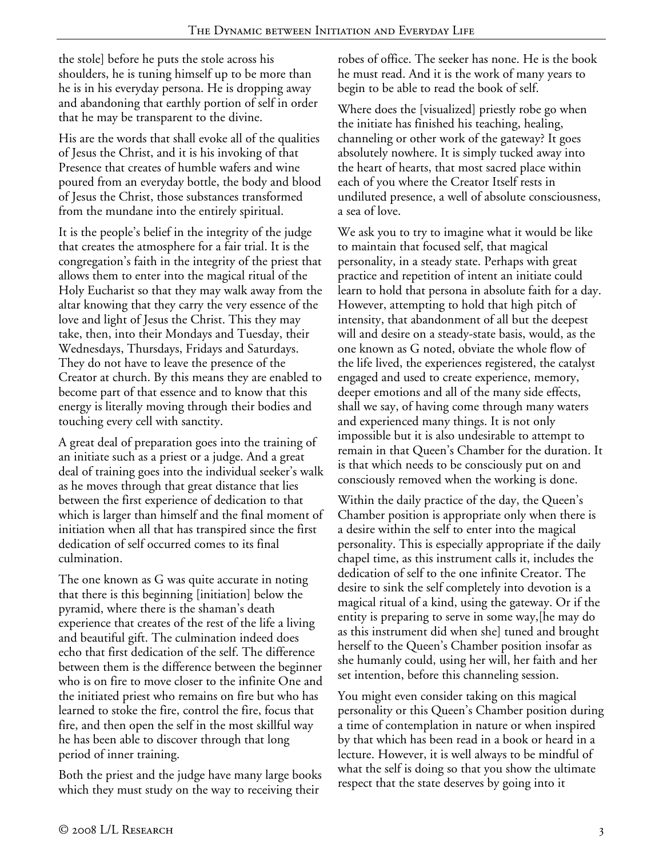the stole] before he puts the stole across his shoulders, he is tuning himself up to be more than he is in his everyday persona. He is dropping away and abandoning that earthly portion of self in order that he may be transparent to the divine.

His are the words that shall evoke all of the qualities of Jesus the Christ, and it is his invoking of that Presence that creates of humble wafers and wine poured from an everyday bottle, the body and blood of Jesus the Christ, those substances transformed from the mundane into the entirely spiritual.

It is the people's belief in the integrity of the judge that creates the atmosphere for a fair trial. It is the congregation's faith in the integrity of the priest that allows them to enter into the magical ritual of the Holy Eucharist so that they may walk away from the altar knowing that they carry the very essence of the love and light of Jesus the Christ. This they may take, then, into their Mondays and Tuesday, their Wednesdays, Thursdays, Fridays and Saturdays. They do not have to leave the presence of the Creator at church. By this means they are enabled to become part of that essence and to know that this energy is literally moving through their bodies and touching every cell with sanctity.

A great deal of preparation goes into the training of an initiate such as a priest or a judge. And a great deal of training goes into the individual seeker's walk as he moves through that great distance that lies between the first experience of dedication to that which is larger than himself and the final moment of initiation when all that has transpired since the first dedication of self occurred comes to its final culmination.

The one known as G was quite accurate in noting that there is this beginning [initiation] below the pyramid, where there is the shaman's death experience that creates of the rest of the life a living and beautiful gift. The culmination indeed does echo that first dedication of the self. The difference between them is the difference between the beginner who is on fire to move closer to the infinite One and the initiated priest who remains on fire but who has learned to stoke the fire, control the fire, focus that fire, and then open the self in the most skillful way he has been able to discover through that long period of inner training.

Both the priest and the judge have many large books which they must study on the way to receiving their

robes of office. The seeker has none. He is the book he must read. And it is the work of many years to begin to be able to read the book of self.

Where does the [visualized] priestly robe go when the initiate has finished his teaching, healing, channeling or other work of the gateway? It goes absolutely nowhere. It is simply tucked away into the heart of hearts, that most sacred place within each of you where the Creator Itself rests in undiluted presence, a well of absolute consciousness, a sea of love.

We ask you to try to imagine what it would be like to maintain that focused self, that magical personality, in a steady state. Perhaps with great practice and repetition of intent an initiate could learn to hold that persona in absolute faith for a day. However, attempting to hold that high pitch of intensity, that abandonment of all but the deepest will and desire on a steady-state basis, would, as the one known as G noted, obviate the whole flow of the life lived, the experiences registered, the catalyst engaged and used to create experience, memory, deeper emotions and all of the many side effects, shall we say, of having come through many waters and experienced many things. It is not only impossible but it is also undesirable to attempt to remain in that Queen's Chamber for the duration. It is that which needs to be consciously put on and consciously removed when the working is done.

Within the daily practice of the day, the Queen's Chamber position is appropriate only when there is a desire within the self to enter into the magical personality. This is especially appropriate if the daily chapel time, as this instrument calls it, includes the dedication of self to the one infinite Creator. The desire to sink the self completely into devotion is a magical ritual of a kind, using the gateway. Or if the entity is preparing to serve in some way,[he may do as this instrument did when she] tuned and brought herself to the Queen's Chamber position insofar as she humanly could, using her will, her faith and her set intention, before this channeling session.

You might even consider taking on this magical personality or this Queen's Chamber position during a time of contemplation in nature or when inspired by that which has been read in a book or heard in a lecture. However, it is well always to be mindful of what the self is doing so that you show the ultimate respect that the state deserves by going into it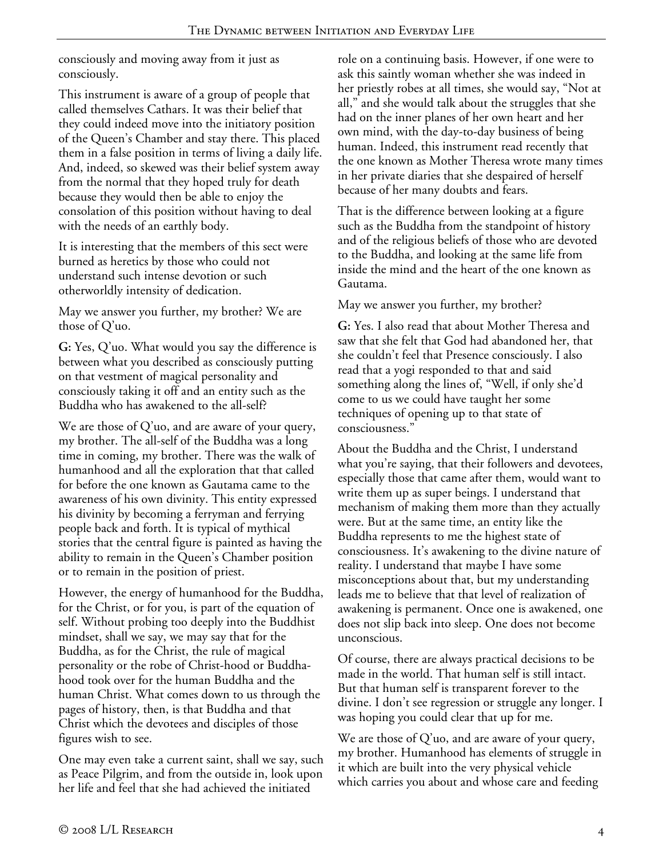consciously and moving away from it just as consciously.

This instrument is aware of a group of people that called themselves Cathars. It was their belief that they could indeed move into the initiatory position of the Queen's Chamber and stay there. This placed them in a false position in terms of living a daily life. And, indeed, so skewed was their belief system away from the normal that they hoped truly for death because they would then be able to enjoy the consolation of this position without having to deal with the needs of an earthly body.

It is interesting that the members of this sect were burned as heretics by those who could not understand such intense devotion or such otherworldly intensity of dedication.

May we answer you further, my brother? We are those of Q'uo.

**G:** Yes, Q'uo. What would you say the difference is between what you described as consciously putting on that vestment of magical personality and consciously taking it off and an entity such as the Buddha who has awakened to the all-self?

We are those of Q'uo, and are aware of your query, my brother. The all-self of the Buddha was a long time in coming, my brother. There was the walk of humanhood and all the exploration that that called for before the one known as Gautama came to the awareness of his own divinity. This entity expressed his divinity by becoming a ferryman and ferrying people back and forth. It is typical of mythical stories that the central figure is painted as having the ability to remain in the Queen's Chamber position or to remain in the position of priest.

However, the energy of humanhood for the Buddha, for the Christ, or for you, is part of the equation of self. Without probing too deeply into the Buddhist mindset, shall we say, we may say that for the Buddha, as for the Christ, the rule of magical personality or the robe of Christ-hood or Buddhahood took over for the human Buddha and the human Christ. What comes down to us through the pages of history, then, is that Buddha and that Christ which the devotees and disciples of those figures wish to see.

One may even take a current saint, shall we say, such as Peace Pilgrim, and from the outside in, look upon her life and feel that she had achieved the initiated

role on a continuing basis. However, if one were to ask this saintly woman whether she was indeed in her priestly robes at all times, she would say, "Not at all," and she would talk about the struggles that she had on the inner planes of her own heart and her own mind, with the day-to-day business of being human. Indeed, this instrument read recently that the one known as Mother Theresa wrote many times in her private diaries that she despaired of herself because of her many doubts and fears.

That is the difference between looking at a figure such as the Buddha from the standpoint of history and of the religious beliefs of those who are devoted to the Buddha, and looking at the same life from inside the mind and the heart of the one known as Gautama.

May we answer you further, my brother?

**G:** Yes. I also read that about Mother Theresa and saw that she felt that God had abandoned her, that she couldn't feel that Presence consciously. I also read that a yogi responded to that and said something along the lines of, "Well, if only she'd come to us we could have taught her some techniques of opening up to that state of consciousness."

About the Buddha and the Christ, I understand what you're saying, that their followers and devotees, especially those that came after them, would want to write them up as super beings. I understand that mechanism of making them more than they actually were. But at the same time, an entity like the Buddha represents to me the highest state of consciousness. It's awakening to the divine nature of reality. I understand that maybe I have some misconceptions about that, but my understanding leads me to believe that that level of realization of awakening is permanent. Once one is awakened, one does not slip back into sleep. One does not become unconscious.

Of course, there are always practical decisions to be made in the world. That human self is still intact. But that human self is transparent forever to the divine. I don't see regression or struggle any longer. I was hoping you could clear that up for me.

We are those of  $Q'$ uo, and are aware of your query, my brother. Humanhood has elements of struggle in it which are built into the very physical vehicle which carries you about and whose care and feeding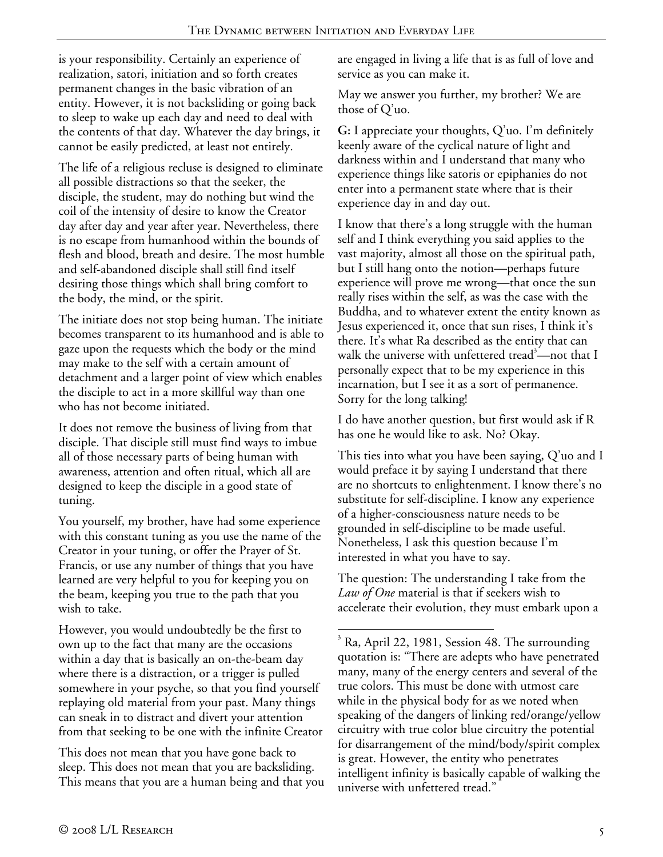is your responsibility. Certainly an experience of realization, satori, initiation and so forth creates permanent changes in the basic vibration of an entity. However, it is not backsliding or going back to sleep to wake up each day and need to deal with the contents of that day. Whatever the day brings, it cannot be easily predicted, at least not entirely.

The life of a religious recluse is designed to eliminate all possible distractions so that the seeker, the disciple, the student, may do nothing but wind the coil of the intensity of desire to know the Creator day after day and year after year. Nevertheless, there is no escape from humanhood within the bounds of flesh and blood, breath and desire. The most humble and self-abandoned disciple shall still find itself desiring those things which shall bring comfort to the body, the mind, or the spirit.

The initiate does not stop being human. The initiate becomes transparent to its humanhood and is able to gaze upon the requests which the body or the mind may make to the self with a certain amount of detachment and a larger point of view which enables the disciple to act in a more skillful way than one who has not become initiated.

It does not remove the business of living from that disciple. That disciple still must find ways to imbue all of those necessary parts of being human with awareness, attention and often ritual, which all are designed to keep the disciple in a good state of tuning.

You yourself, my brother, have had some experience with this constant tuning as you use the name of the Creator in your tuning, or offer the Prayer of St. Francis, or use any number of things that you have learned are very helpful to you for keeping you on the beam, keeping you true to the path that you wish to take.

However, you would undoubtedly be the first to own up to the fact that many are the occasions within a day that is basically an on-the-beam day where there is a distraction, or a trigger is pulled somewhere in your psyche, so that you find yourself replaying old material from your past. Many things can sneak in to distract and divert your attention from that seeking to be one with the infinite Creator

This does not mean that you have gone back to sleep. This does not mean that you are backsliding. This means that you are a human being and that you

are engaged in living a life that is as full of love and service as you can make it.

May we answer you further, my brother? We are those of Q'uo.

**G:** I appreciate your thoughts, Q'uo. I'm definitely keenly aware of the cyclical nature of light and darkness within and I understand that many who experience things like satoris or epiphanies do not enter into a permanent state where that is their experience day in and day out.

I know that there's a long struggle with the human self and I think everything you said applies to the vast majority, almost all those on the spiritual path, but I still hang onto the notion—perhaps future experience will prove me wrong—that once the sun really rises within the self, as was the case with the Buddha, and to whatever extent the entity known as Jesus experienced it, once that sun rises, I think it's there. It's what Ra described as the entity that can walk the universe with unfettered tread<sup>3</sup>—not that I personally expect that to be my experience in this incarnation, but I see it as a sort of permanence. Sorry for the long talking!

I do have another question, but first would ask if R has one he would like to ask. No? Okay.

This ties into what you have been saying, Q'uo and I would preface it by saying I understand that there are no shortcuts to enlightenment. I know there's no substitute for self-discipline. I know any experience of a higher-consciousness nature needs to be grounded in self-discipline to be made useful. Nonetheless, I ask this question because I'm interested in what you have to say.

The question: The understanding I take from the *Law of One* material is that if seekers wish to accelerate their evolution, they must embark upon a

 $\overline{a}$ <sup>3</sup> Ra, April 22, 1981, Session 48. The surrounding quotation is: "There are adepts who have penetrated many, many of the energy centers and several of the true colors. This must be done with utmost care while in the physical body for as we noted when speaking of the dangers of linking red/orange/yellow circuitry with true color blue circuitry the potential for disarrangement of the mind/body/spirit complex is great. However, the entity who penetrates intelligent infinity is basically capable of walking the universe with unfettered tread."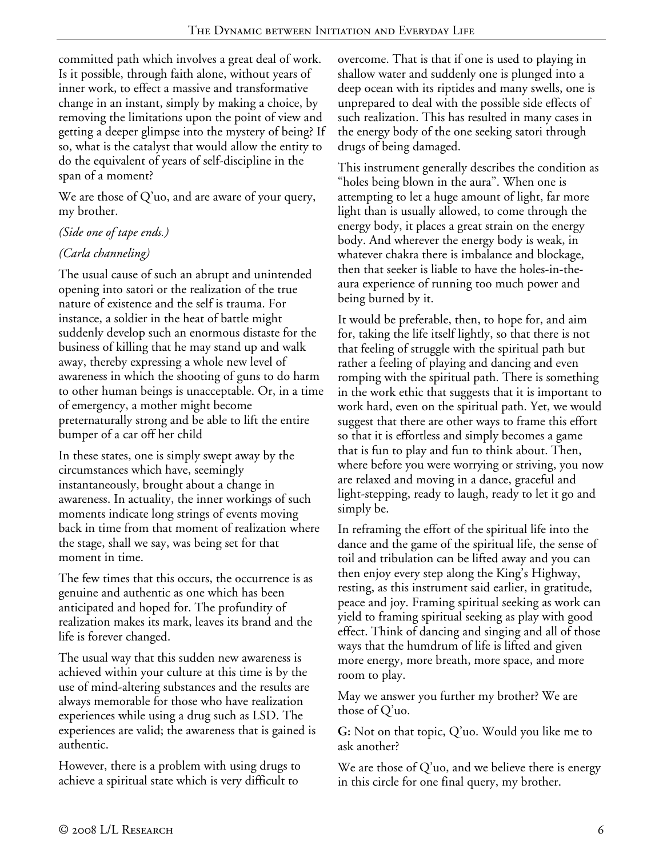committed path which involves a great deal of work. Is it possible, through faith alone, without years of inner work, to effect a massive and transformative change in an instant, simply by making a choice, by removing the limitations upon the point of view and getting a deeper glimpse into the mystery of being? If so, what is the catalyst that would allow the entity to do the equivalent of years of self-discipline in the span of a moment?

We are those of  $Q'$ uo, and are aware of your query, my brother.

## *(Side one of tape ends.)*

### *(Carla channeling)*

The usual cause of such an abrupt and unintended opening into satori or the realization of the true nature of existence and the self is trauma. For instance, a soldier in the heat of battle might suddenly develop such an enormous distaste for the business of killing that he may stand up and walk away, thereby expressing a whole new level of awareness in which the shooting of guns to do harm to other human beings is unacceptable. Or, in a time of emergency, a mother might become preternaturally strong and be able to lift the entire bumper of a car off her child

In these states, one is simply swept away by the circumstances which have, seemingly instantaneously, brought about a change in awareness. In actuality, the inner workings of such moments indicate long strings of events moving back in time from that moment of realization where the stage, shall we say, was being set for that moment in time.

The few times that this occurs, the occurrence is as genuine and authentic as one which has been anticipated and hoped for. The profundity of realization makes its mark, leaves its brand and the life is forever changed.

The usual way that this sudden new awareness is achieved within your culture at this time is by the use of mind-altering substances and the results are always memorable for those who have realization experiences while using a drug such as LSD. The experiences are valid; the awareness that is gained is authentic.

However, there is a problem with using drugs to achieve a spiritual state which is very difficult to

overcome. That is that if one is used to playing in shallow water and suddenly one is plunged into a deep ocean with its riptides and many swells, one is unprepared to deal with the possible side effects of such realization. This has resulted in many cases in the energy body of the one seeking satori through drugs of being damaged.

This instrument generally describes the condition as "holes being blown in the aura". When one is attempting to let a huge amount of light, far more light than is usually allowed, to come through the energy body, it places a great strain on the energy body. And wherever the energy body is weak, in whatever chakra there is imbalance and blockage, then that seeker is liable to have the holes-in-theaura experience of running too much power and being burned by it.

It would be preferable, then, to hope for, and aim for, taking the life itself lightly, so that there is not that feeling of struggle with the spiritual path but rather a feeling of playing and dancing and even romping with the spiritual path. There is something in the work ethic that suggests that it is important to work hard, even on the spiritual path. Yet, we would suggest that there are other ways to frame this effort so that it is effortless and simply becomes a game that is fun to play and fun to think about. Then, where before you were worrying or striving, you now are relaxed and moving in a dance, graceful and light-stepping, ready to laugh, ready to let it go and simply be.

In reframing the effort of the spiritual life into the dance and the game of the spiritual life, the sense of toil and tribulation can be lifted away and you can then enjoy every step along the King's Highway, resting, as this instrument said earlier, in gratitude, peace and joy. Framing spiritual seeking as work can yield to framing spiritual seeking as play with good effect. Think of dancing and singing and all of those ways that the humdrum of life is lifted and given more energy, more breath, more space, and more room to play.

May we answer you further my brother? We are those of Q'uo.

**G:** Not on that topic, Q'uo. Would you like me to ask another?

We are those of Q'uo, and we believe there is energy in this circle for one final query, my brother.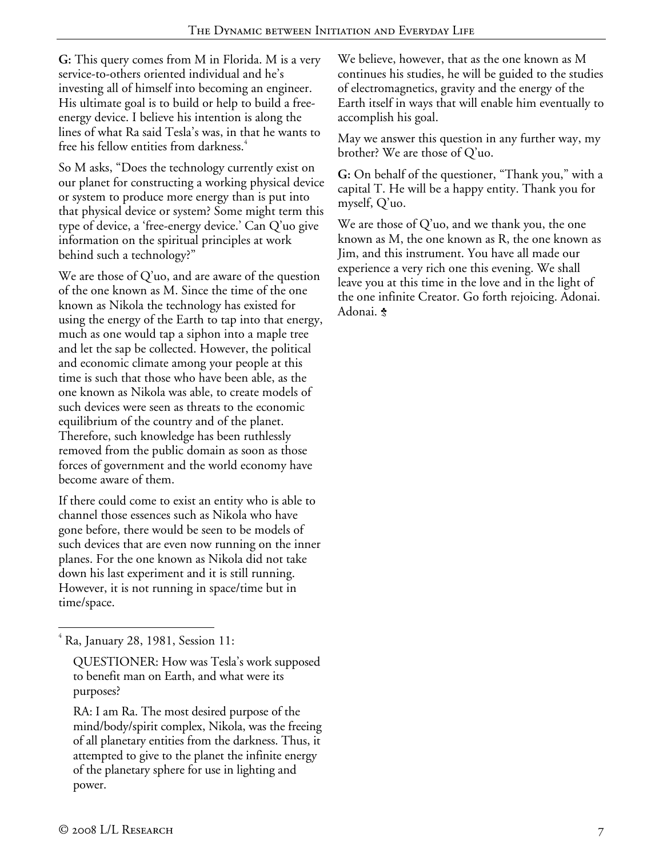**G:** This query comes from M in Florida. M is a very service-to-others oriented individual and he's investing all of himself into becoming an engineer. His ultimate goal is to build or help to build a freeenergy device. I believe his intention is along the lines of what Ra said Tesla's was, in that he wants to free his fellow entities from darkness.<sup>4</sup>

So M asks, "Does the technology currently exist on our planet for constructing a working physical device or system to produce more energy than is put into that physical device or system? Some might term this type of device, a 'free-energy device.' Can Q'uo give information on the spiritual principles at work behind such a technology?"

We are those of Q'uo, and are aware of the question of the one known as M. Since the time of the one known as Nikola the technology has existed for using the energy of the Earth to tap into that energy, much as one would tap a siphon into a maple tree and let the sap be collected. However, the political and economic climate among your people at this time is such that those who have been able, as the one known as Nikola was able, to create models of such devices were seen as threats to the economic equilibrium of the country and of the planet. Therefore, such knowledge has been ruthlessly removed from the public domain as soon as those forces of government and the world economy have become aware of them.

If there could come to exist an entity who is able to channel those essences such as Nikola who have gone before, there would be seen to be models of such devices that are even now running on the inner planes. For the one known as Nikola did not take down his last experiment and it is still running. However, it is not running in space/time but in time/space.

We believe, however, that as the one known as M continues his studies, he will be guided to the studies of electromagnetics, gravity and the energy of the Earth itself in ways that will enable him eventually to accomplish his goal.

May we answer this question in any further way, my brother? We are those of Q'uo.

**G:** On behalf of the questioner, "Thank you," with a capital T. He will be a happy entity. Thank you for myself, Q'uo.

We are those of Q'uo, and we thank you, the one known as M, the one known as R, the one known as Jim, and this instrument. You have all made our experience a very rich one this evening. We shall leave you at this time in the love and in the light of the one infinite Creator. Go forth rejoicing. Adonai. Adonai.  $\bullet$ 

 $\overline{a}$ 4 Ra, January 28, 1981, Session 11:

QUESTIONER: How was Tesla's work supposed to benefit man on Earth, and what were its purposes?

RA: I am Ra. The most desired purpose of the mind/body/spirit complex, Nikola, was the freeing of all planetary entities from the darkness. Thus, it attempted to give to the planet the infinite energy of the planetary sphere for use in lighting and power.